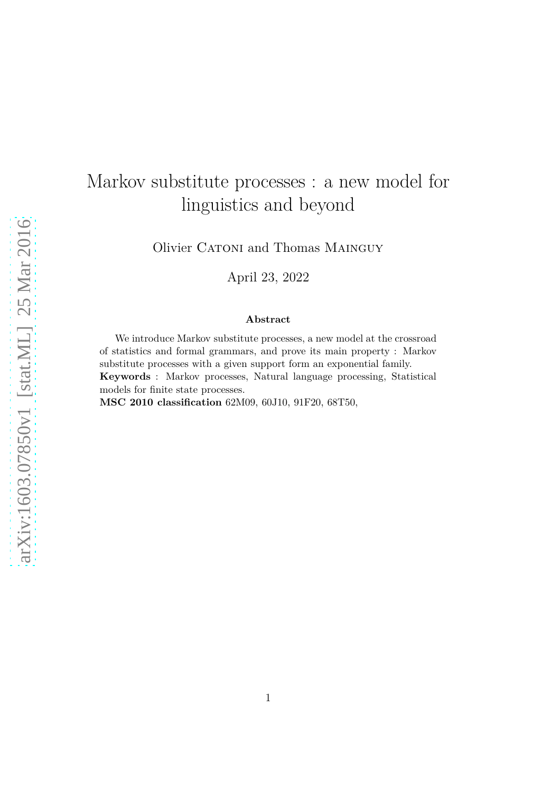# Markov substitute processes : a new model for linguistics and beyond

Olivier CATONI and Thomas MAINGUY

April 23, 2022

#### **Abstract**

We introduce Markov substitute processes, a new model at the crossroad of statistics and formal grammars, and prove its main property : Markov substitute processes with a given support form an exponential family. **Keywords** : Markov processes, Natural language processing, Statistical models for finite state processes. **MSC 2010 classification** 62M09, 60J10, 91F20, 68T50,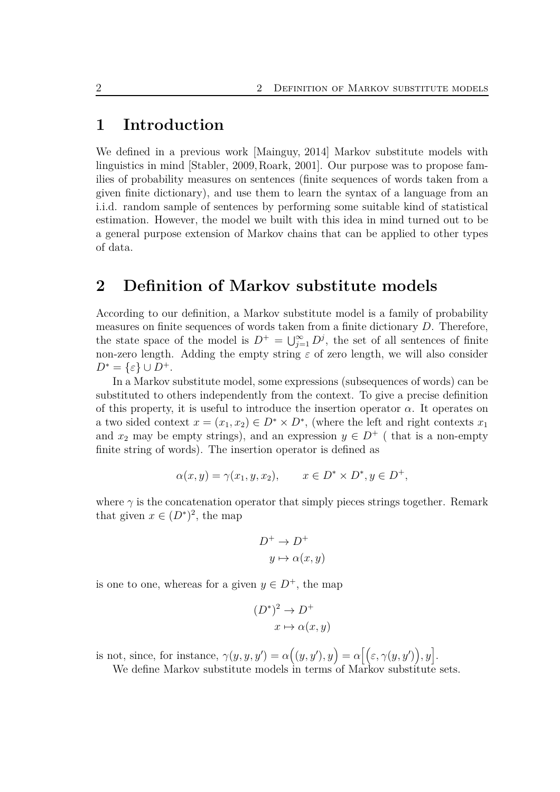## **1 Introduction**

We defined in a previous work [\[Mainguy, 2014\]](#page-21-0) Markov substitute models with linguistics in mind [\[Stabler, 2009,](#page-21-1)[Roark, 2001\]](#page-21-2). Our purpose was to propose families of probability measures on sentences (finite sequences of words taken from a given finite dictionary), and use them to learn the syntax of a language from an i.i.d. random sample of sentences by performing some suitable kind of statistical estimation. However, the model we built with this idea in mind turned out to be a general purpose extension of Markov chains that can be applied to other types of data.

## **2 Definition of Markov substitute models**

According to our definition, a Markov substitute model is a family of probability measures on finite sequences of words taken from a finite dictionary *D*. Therefore, the state space of the model is  $D^+ = \bigcup_{j=1}^{\infty} D^j$ , the set of all sentences of finite non-zero length. Adding the empty string  $\varepsilon$  of zero length, we will also consider  $D^* = \{\varepsilon\} \cup D^+$ .

In a Markov substitute model, some expressions (subsequences of words) can be substituted to others independently from the context. To give a precise definition of this property, it is useful to introduce the insertion operator  $\alpha$ . It operates on a two sided context  $x = (x_1, x_2) \in D^* \times D^*$ , (where the left and right contexts  $x_1$ and  $x_2$  may be empty strings), and an expression  $y \in D^+$  (that is a non-empty finite string of words). The insertion operator is defined as

$$
\alpha(x, y) = \gamma(x_1, y, x_2), \qquad x \in D^* \times D^*, y \in D^+,
$$

where  $\gamma$  is the concatenation operator that simply pieces strings together. Remark that given  $x \in (D^*)^2$ , the map

$$
D^+ \to D^+
$$
  

$$
y \mapsto \alpha(x, y)
$$

is one to one, whereas for a given  $y \in D^+$ , the map

$$
(D^*)^2 \to D^+
$$

$$
x \mapsto \alpha(x, y)
$$

is not, since, for instance,  $\gamma(y, y, y') = \alpha((y, y'), y) = \alpha[(\varepsilon, \gamma(y, y'), y)]$ .

We define Markov substitute models in terms of Markov substitute sets.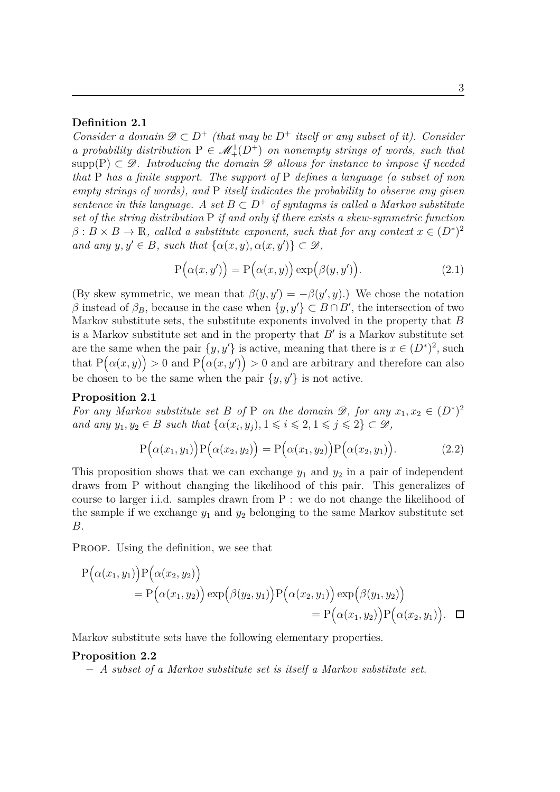#### **Definition 2.1**

*Consider a domain*  $\mathscr{D} \subset D^+$  *(that may be*  $D^+$  *itself or any subset of it). Consider a probability distribution*  $P \in \mathcal{M}_+^1(D^+)$  *on nonempty strings of words, such that* supp(P)  $\subset \mathscr{D}$ . Introducing the domain  $\mathscr{D}$  allows for instance to impose if needed *that* P *has a finite support. The support of* P *defines a language (a subset of non empty strings of words), and* P *itself indicates the probability to observe any given sentence in this language.* A set  $B \subset D^+$  of syntagms is called a Markov substitute *set of the string distribution* P *if and only if there exists a skew-symmetric function*  $\beta: B \times B \to \mathbb{R}$ , called a substitute exponent, such that for any context  $x \in (D^*)^2$ *and any*  $y, y' \in B$ *, such that*  $\{\alpha(x, y), \alpha(x, y')\} \subset \mathcal{D}$ *,* 

<span id="page-2-0"></span>
$$
P(\alpha(x, y')) = P(\alpha(x, y)) \exp(\beta(y, y')).
$$
\n(2.1)

(By skew symmetric, we mean that  $\beta(y, y') = -\beta(y', y)$ .) We chose the notation *β* instead of  $β_B$ , because in the case when  ${y, y' } ⊂ B ∩ B'$ , the intersection of two Markov substitute sets, the substitute exponents involved in the property that *B* is a Markov substitute set and in the property that *B*′ is a Markov substitute set are the same when the pair  $\{y, y'\}$  is active, meaning that there is  $x \in (D^*)^2$ , such that  $P(\alpha(x, y)) > 0$  and  $P(\alpha(x, y')) > 0$  and are arbitrary and therefore can also be chosen to be the same when the pair  $\{y, y'\}$  is not active.

#### **Proposition 2.1**

*For any Markov substitute set B of* P *on the domain*  $\mathscr{D}$ *, for any*  $x_1, x_2 \in (D^*)^2$ *and any*  $y_1, y_2 \in B$  *such that*  $\{\alpha(x_i, y_j), 1 \leq i \leq 2, 1 \leq j \leq 2\} \subset \mathcal{D}$ ,

$$
P(\alpha(x_1, y_1))P(\alpha(x_2, y_2)) = P(\alpha(x_1, y_2))P(\alpha(x_2, y_1)).
$$
\n(2.2)

This proposition shows that we can exchange  $y_1$  and  $y_2$  in a pair of independent draws from P without changing the likelihood of this pair. This generalizes of course to larger i.i.d. samples drawn from P : we do not change the likelihood of the sample if we exchange  $y_1$  and  $y_2$  belonging to the same Markov substitute set *B*.

PROOF. Using the definition, we see that

$$
P(\alpha(x_1, y_1)) P(\alpha(x_2, y_2))
$$
  
=  $P(\alpha(x_1, y_2)) \exp(\beta(y_2, y_1)) P(\alpha(x_2, y_1)) \exp(\beta(y_1, y_2))$   
=  $P(\alpha(x_1, y_2)) P(\alpha(x_2, y_1)).$ 

Markov substitute sets have the following elementary properties.

#### **Proposition 2.2**

<span id="page-2-1"></span>− *A subset of a Markov substitute set is itself a Markov substitute set.*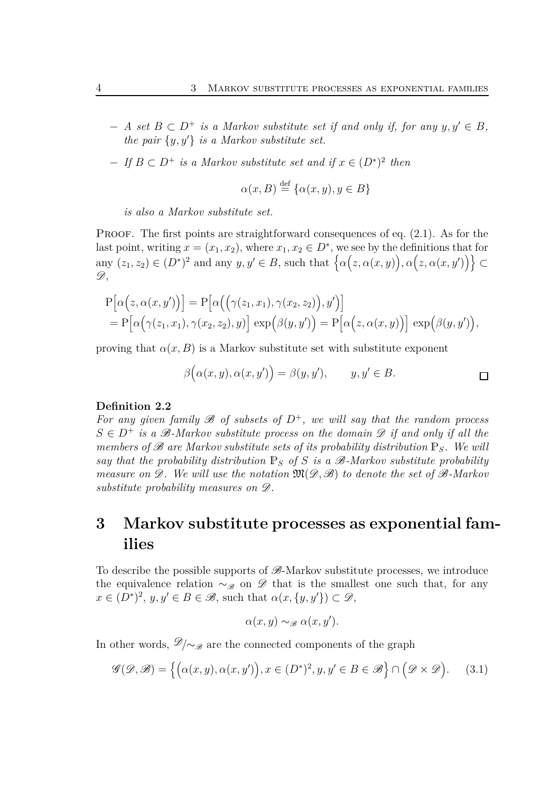- $A$  *set*  $B ⊂ D<sup>+</sup>$  *is a Markov substitute set if and only if, for any*  $y, y' ∈ B$ *, the pair* {*y, y*′} *is a Markov substitute set.*
- $-$  *If*  $B ⊂ D<sup>+</sup>$  *is a Markov substitute set and if*  $x ∈ (D<sup>*</sup>)<sup>2</sup>$  *then*

$$
\alpha(x, B) \stackrel{\text{def}}{=} \{ \alpha(x, y), y \in B \}
$$

*is also a Markov substitute set.*

PROOF. The first points are straightforward consequences of eq.  $(2.1)$ . As for the last point, writing  $x = (x_1, x_2)$ , where  $x_1, x_2 \in D^*$ , we see by the definitions that for any  $(z_1, z_2) \in (D^*)^2$  and any  $y, y' \in B$ , such that  $\{\alpha(z, \alpha(x, y)), \alpha(z, \alpha(x, y'))\} \subset$  $\mathscr{D}.$ 

$$
P[\alpha(z, \alpha(x, y'))] = P[\alpha((\gamma(z_1, x_1), \gamma(x_2, z_2)), y')]
$$
  
=  $P[\alpha(\gamma(z_1, x_1), \gamma(x_2, z_2), y)] \exp(\beta(y, y')) = P[\alpha(z, \alpha(x, y))] \exp(\beta(y, y')),$ 

proving that  $\alpha(x, B)$  is a Markov substitute set with substitute exponent

$$
\beta(\alpha(x, y), \alpha(x, y')) = \beta(y, y'), \qquad y, y' \in B.
$$

#### **Definition 2.2**

For any given family  $\mathscr B$  of subsets of  $D^+$ , we will say that the random process  $S \in D^+$  *is a B-Markov substitute process on the domain*  $D$  *if and only if all the members of*  $\mathscr B$  *are Markov substitute sets of its probability distribution*  $\mathbb P_S$ *. We will say that the probability distribution*  $\mathbb{P}_S$  *of S is a*  $\mathscr{B}$ -Markov substitute probability *measure on* D*. We will use the notation* M(D*,* B) *to denote the set of* B*-Markov substitute probability measures on* D*.*

## **3 Markov substitute processes as exponential families**

To describe the possible supports of  $\mathscr{B}$ -Markov substitute processes, we introduce the equivalence relation  $\sim_{\mathscr{B}}$  on  $\mathscr{D}$  that is the smallest one such that, for any  $x \in (D^*)^2$ ,  $y, y' \in B \in \mathcal{B}$ , such that  $\alpha(x, \{y, y'\}) \subset \mathcal{D}$ ,

<span id="page-3-0"></span>
$$
\alpha(x, y) \sim_{\mathscr{B}} \alpha(x, y').
$$

In other words,  $\mathscr{D}/\sim_{\mathscr{B}}$  are the connected components of the graph

$$
\mathcal{G}(\mathcal{D}, \mathcal{B}) = \left\{ \left( \alpha(x, y), \alpha(x, y') \right), x \in (D^*)^2, y, y' \in B \in \mathcal{B} \right\} \cap \left( \mathcal{D} \times \mathcal{D} \right). \tag{3.1}
$$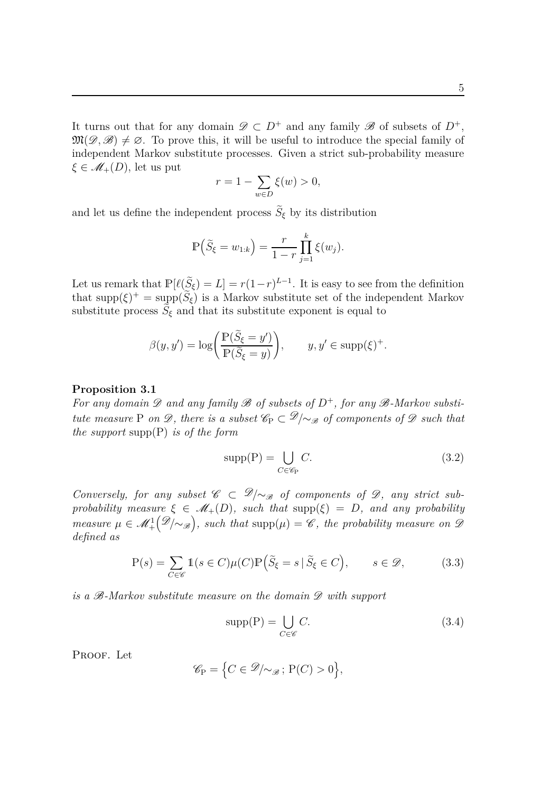It turns out that for any domain  $\mathscr{D} \subset D^+$  and any family  $\mathscr{B}$  of subsets of  $D^+$ ,  $\mathfrak{M}(\mathscr{D},\mathscr{B})\neq\emptyset$ . To prove this, it will be useful to introduce the special family of independent Markov substitute processes. Given a strict sub-probability measure  $\xi \in \mathscr{M}_+(D)$ , let us put

$$
r = 1 - \sum_{w \in D} \xi(w) > 0,
$$

and let us define the independent process  $\tilde{S}_{\xi}$  by its distribution

$$
\mathbb{P}\left(\widetilde{S}_{\xi} = w_{1:k}\right) = \frac{r}{1-r} \prod_{j=1}^{k} \xi(w_j).
$$

Let us remark that  $\mathbb{P}[\ell(\tilde{S}_{\xi})] = L = r(1-r)^{L-1}$ . It is easy to see from the definition that  $\text{supp}(\xi)^{+} = \text{supp}(\tilde{S}_{\xi})$  is a Markov substitute set of the independent Markov substitute process  $\tilde{S}_{\xi}$  and that its substitute exponent is equal to

$$
\beta(y, y') = \log \left( \frac{\mathbb{P}(\widetilde{S}_{\xi} = y')}{\mathbb{P}(\widetilde{S}_{\xi} = y)} \right), \qquad y, y' \in \text{supp}(\xi)^+.
$$

#### <span id="page-4-3"></span>**Proposition 3.1**

*For any domain*  $\mathscr D$  *and any family*  $\mathscr B$  *of subsets of*  $D^+$ *, for any*  $\mathscr B$ *-Markov substitute measure* P *on*  $\mathscr{D}$ *, there is a subset*  $\mathscr{C}_P \subset \mathscr{D}/\sim_{\mathscr{B}}$  *of components of*  $\mathscr{D}$  *such that the support* supp(P) *is of the form*

<span id="page-4-0"></span>
$$
supp(P) = \bigcup_{C \in \mathscr{C}_P} C. \tag{3.2}
$$

*Conversely, for any subset*  $\mathscr{C} \subset \mathscr{D}/\sim_{\mathscr{B}}$  *of components of*  $\mathscr{D}$ *, any strict subprobability measure*  $\xi \in M_+(D)$ *, such that* supp( $\xi$ ) = *D, and any probability measure*  $\mu \in \mathcal{M}^1_+$  $(\mathscr{D}_{\mathscr{P}})$ , such that supp $(\mu) = \mathscr{C}$ , the probability measure on  $\mathscr{D}$ *defined as*

<span id="page-4-1"></span>
$$
P(s) = \sum_{C \in \mathscr{C}} \mathbb{1}(s \in C)\mu(C)\mathbb{P}\left(\tilde{S}_{\xi} = s \mid \tilde{S}_{\xi} \in C\right), \qquad s \in \mathscr{D},\tag{3.3}
$$

*is a* B*-Markov substitute measure on the domain* D *with support*

<span id="page-4-2"></span>
$$
supp(P) = \bigcup_{C \in \mathcal{C}} C.
$$
\n(3.4)

PROOF. Let

$$
\mathscr{C}_{\mathcal{P}} = \Big\{ C \in \mathscr{D}/\!\!\sim_{\mathscr{B}}; \, \mathrm{P}(C) > 0 \Big\},\
$$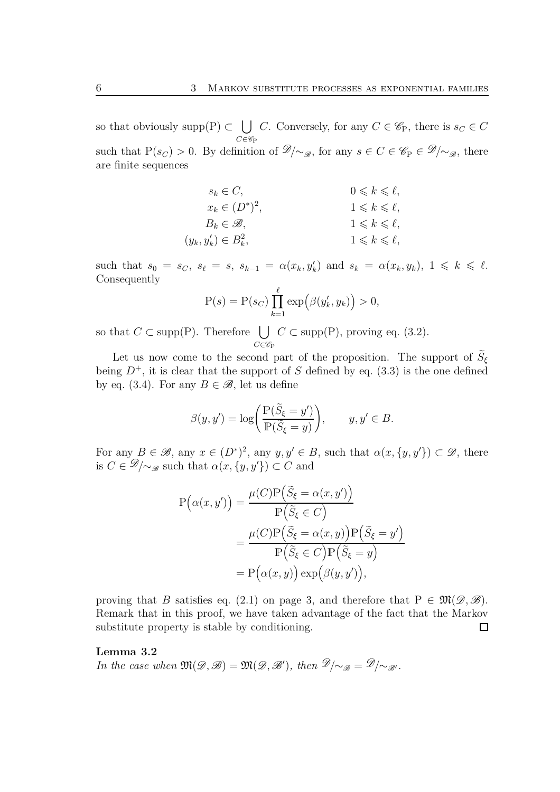so that obviously supp $(P) \subset \bigcup$  $C \in \mathscr{C}_{\mathrm{P}}$ *C*. Conversely, for any  $C \in \mathscr{C}_P$ , there is  $s_C \in C$ such that  $P(s_C) > 0$ . By definition of  $\mathscr{D}/\sim_{\mathscr{B}}$ , for any  $s \in C \in \mathscr{C}_P \in \mathscr{D}/\sim_{\mathscr{B}}$ , there are finite sequences

$$
s_k \in C, \qquad 0 \le k \le \ell, \n x_k \in (D^*)^2, \qquad 1 \le k \le \ell, \n B_k \in \mathcal{B}, \qquad 1 \le k \le \ell, \n (y_k, y'_k) \in B_k^2, \qquad 1 \le k \le \ell,
$$

such that  $s_0 = s_C$ ,  $s_\ell = s$ ,  $s_{k-1} = \alpha(x_k, y'_k)$  and  $s_k = \alpha(x_k, y_k)$ ,  $1 \leq k \leq \ell$ . Consequently

$$
P(s) = P(s_C) \prod_{k=1}^{\ell} \exp(\beta(y'_k, y_k)) > 0,
$$

so that  $C \subset \text{supp}(P)$ . Therefore  $\bigcup$  $C \in \mathscr{C}_{\mathrm{P}}$  $C \subset \text{supp}(P)$ , proving eq. [\(3.2](#page-4-0)).

Let us now come to the second part of the proposition. The support of  $\tilde{S}_{\xi}$ being  $D^+$ , it is clear that the support of *S* defined by eq. [\(3.3\)](#page-4-1) is the one defined by eq. [\(3.4](#page-4-2)). For any  $B \in \mathscr{B}$ , let us define

$$
\beta(y, y') = \log\bigg(\frac{\mathbb{P}(\widetilde{S}_{\xi} = y')}{\mathbb{P}(\widetilde{S}_{\xi} = y)}\bigg), \qquad y, y' \in B.
$$

For any  $B \in \mathscr{B}$ , any  $x \in (D^*)^2$ , any  $y, y' \in B$ , such that  $\alpha(x, \{y, y'\}) \subset \mathscr{D}$ , there is  $C \in \mathscr{D}/\sim_{\mathscr{B}}$  such that  $\alpha(x, \{y, y'\}) \subset C$  and

$$
P(\alpha(x, y')) = \frac{\mu(C)P(\tilde{S}_{\xi} = \alpha(x, y'))}{P(\tilde{S}_{\xi} \in C)}
$$
  
= 
$$
\frac{\mu(C)P(\tilde{S}_{\xi} = \alpha(x, y))P(\tilde{S}_{\xi} = y')}{P(\tilde{S}_{\xi} \in C)P(\tilde{S}_{\xi} = y)}
$$
  
= 
$$
P(\alpha(x, y)) \exp(\beta(y, y')),
$$

proving that *B* satisfies eq. [\(2.1\)](#page-2-0) on page [3,](#page-2-0) and therefore that  $P \in \mathfrak{M}(\mathcal{D}, \mathcal{B})$ . Remark that in this proof, we have taken advantage of the fact that the Markov substitute property is stable by conditioning.  $\Box$ 

#### <span id="page-5-0"></span>**Lemma 3.2**

*In the case when*  $\mathfrak{M}(\mathscr{D}, \mathscr{B}) = \mathfrak{M}(\mathscr{D}, \mathscr{B}')$ , then  $\mathscr{D}/\sim_{\mathscr{B}} = \mathscr{D}/\sim_{\mathscr{B}'}$ .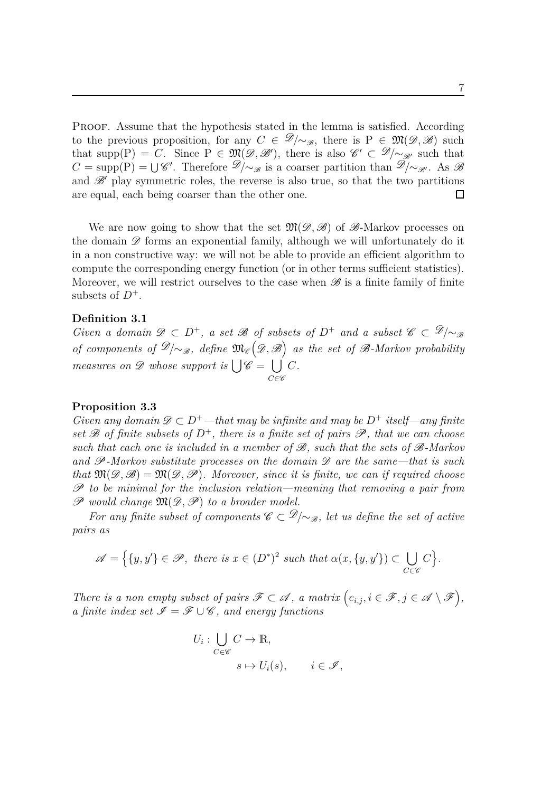PROOF. Assume that the hypothesis stated in the lemma is satisfied. According to the previous proposition, for any  $C \in \mathcal{D}/\sim_{\mathcal{B}}$ , there is P  $\in \mathfrak{M}(\mathcal{D}, \mathcal{B})$  such that supp(P) = *C*. Since P ∈  $\mathfrak{M}(\mathscr{D}, \mathscr{B}')$ , there is also  $\mathscr{C}' \subset \mathscr{D}/\sim_{\mathscr{B}'}$  such that  $C = \text{supp}(P) = \bigcup \mathscr{C}'$ . Therefore  $\mathscr{D}/\sim_{\mathscr{B}}$  is a coarser partition than  $\mathscr{D}/\sim_{\mathscr{B}'}$ . As  $\mathscr{B}$ and  $\mathscr{B}'$  play symmetric roles, the reverse is also true, so that the two partitions are equal, each being coarser than the other one.  $\Box$ 

We are now going to show that the set  $\mathfrak{M}(\mathscr{D},\mathscr{B})$  of  $\mathscr{B}$ -Markov processes on the domain  $\mathscr D$  forms an exponential family, although we will unfortunately do it in a non constructive way: we will not be able to provide an efficient algorithm to compute the corresponding energy function (or in other terms sufficient statistics). Moreover, we will restrict ourselves to the case when  $\mathscr B$  is a finite family of finite subsets of  $D^+$ .

#### **Definition 3.1**

*Given a domain*  $\mathscr{D} \subset D^+$ , *a set*  $\mathscr{B}$  *of subsets of*  $D^+$  *and a subset*  $\mathscr{C} \subset \mathscr{D}/\sim_{\mathscr{B}}$ *of components of*  $\mathscr{D}/\sim_{\mathscr{B}}$ , define  $\mathfrak{M}_{\mathscr{C}}(\mathscr{D},\mathscr{B})$  as the set of  $\mathscr{B}$ -Markov probability *measures on*  $\mathscr{D}$  *whose support is*  $\bigcup \mathscr{C} = \bigcup$  $C \in \mathscr{C}$ *C.*

#### <span id="page-6-0"></span>**Proposition 3.3**

*Given any domain*  $\mathscr{D} \subset D^+$ —that may be infinite and may be  $D^+$  itself—any finite *set*  $\mathscr B$  *of finite subsets of*  $D^+$ *, there is a finite set of pairs*  $\mathscr P$ *, that we can choose such that each one is included in a member of* B*, such that the sets of* B*-Markov and* P*-Markov substitute processes on the domain* D *are the same—that is such that*  $\mathfrak{M}(\mathscr{D}, \mathscr{B}) = \mathfrak{M}(\mathscr{D}, \mathscr{P})$ *. Moreover, since it is finite, we can if required choose* P *to be minimal for the inclusion relation—meaning that removing a pair from*  $\mathscr P$  would change  $\mathfrak M(\mathscr D,\mathscr P)$  to a broader model.

*For any finite subset of components*  $\mathscr{C} \subset \mathscr{D}/\sim_{\mathscr{B}}$ *, let us define the set of active pairs as*

$$
\mathscr{A} = \Big\{ \{y, y'\} \in \mathscr{P}, \text{ there is } x \in (D^*)^2 \text{ such that } \alpha(x, \{y, y'\}) \subset \bigcup_{C \in \mathscr{C}} C \Big\}.
$$

*There is a non empty subset of pairs*  $\mathscr{F} \subset \mathscr{A}$ , a matrix  $(e_{i,j}, i \in \mathscr{F}, j \in \mathscr{A} \setminus \mathscr{F}$ , *a finite index set*  $\mathscr{I} = \mathscr{F} \cup \mathscr{C}$ *, and energy functions* 

$$
U_i: \bigcup_{C \in \mathscr{C}} C \to \mathbb{R},
$$
  

$$
s \mapsto U_i(s), \qquad i \in \mathscr{I},
$$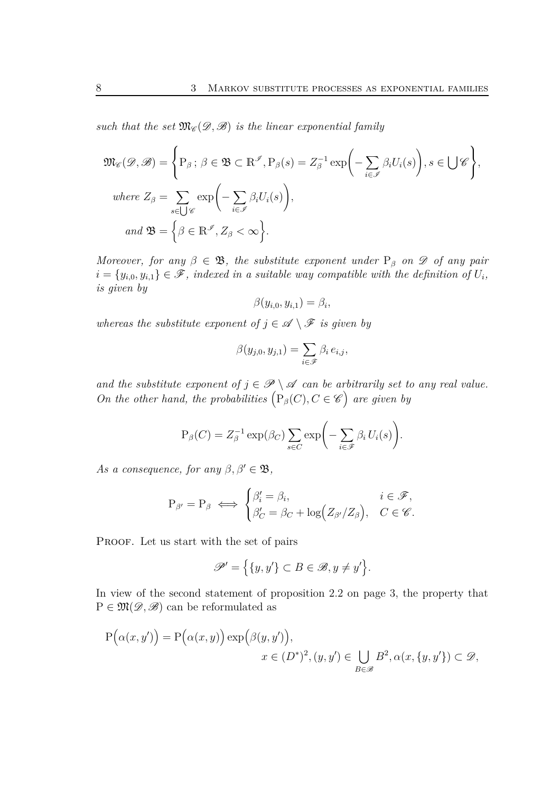*such that the set*  $\mathfrak{M}_{\mathscr{C}}(\mathscr{D}, \mathscr{B})$  *is the linear exponential family* 

$$
\mathfrak{M}_{\mathscr{C}}(\mathscr{D}, \mathscr{B}) = \left\{ P_{\beta} \, ; \, \beta \in \mathfrak{B} \subset \mathbb{R}^{\mathscr{I}}, P_{\beta}(s) = Z_{\beta}^{-1} \exp\left(-\sum_{i \in \mathscr{I}} \beta_i U_i(s)\right), s \in \bigcup \mathscr{C}\right\},\
$$
  
where  $Z_{\beta} = \sum_{s \in \bigcup \mathscr{C}} \exp\left(-\sum_{i \in \mathscr{I}} \beta_i U_i(s)\right),$   
and  $\mathfrak{B} = \left\{\beta \in \mathbb{R}^{\mathscr{I}}, Z_{\beta} < \infty\right\}.$ 

*Moreover, for any*  $\beta \in \mathfrak{B}$ *, the substitute exponent under*  $P_\beta$  *on*  $\mathscr D$  *of any pair*  $i = \{y_{i,0}, y_{i,1}\} \in \mathscr{F}$ , indexed in a suitable way compatible with the definition of  $U_i$ , *is given by*

$$
\beta(y_{i,0},y_{i,1})=\beta_i,
$$

*whereas the substitute exponent of*  $j \in \mathcal{A} \setminus \mathcal{F}$  *is given by* 

$$
\beta(y_{j,0}, y_{j,1}) = \sum_{i \in \mathscr{F}} \beta_i e_{i,j},
$$

*and the substitute exponent of*  $j \in \mathcal{P} \setminus \mathcal{A}$  *can be arbitrarily set to any real value. On the other hand, the probabilities*  $(P_\beta(C), C \in \mathscr{C})$  are given by

$$
P_{\beta}(C) = Z_{\beta}^{-1} \exp(\beta_C) \sum_{s \in C} \exp\biggl(-\sum_{i \in \mathscr{F}} \beta_i U_i(s)\biggr).
$$

*As a consequence, for any*  $\beta, \beta' \in \mathfrak{B}$ ,

$$
P_{\beta'} = P_{\beta} \iff \begin{cases} \beta'_i = \beta_i, & i \in \mathcal{F}, \\ \beta'_C = \beta_C + \log(Z_{\beta'}/Z_{\beta}), & C \in \mathcal{C}. \end{cases}
$$

PROOF. Let us start with the set of pairs

$$
\mathscr{P}' = \Big\{ \{y, y'\} \subset B \in \mathscr{B}, y \neq y' \Big\}.
$$

In view of the second statement of proposition [2.2](#page-2-1) on page [3,](#page-2-1) the property that  $P \in \mathfrak{M}(\mathscr{D}, \mathscr{B})$  can be reformulated as

$$
P(\alpha(x, y')) = P(\alpha(x, y)) \exp(\beta(y, y')),
$$
  

$$
x \in (D^*)^2, (y, y') \in \bigcup_{B \in \mathcal{B}} B^2, \alpha(x, \{y, y'\}) \subset \mathcal{D},
$$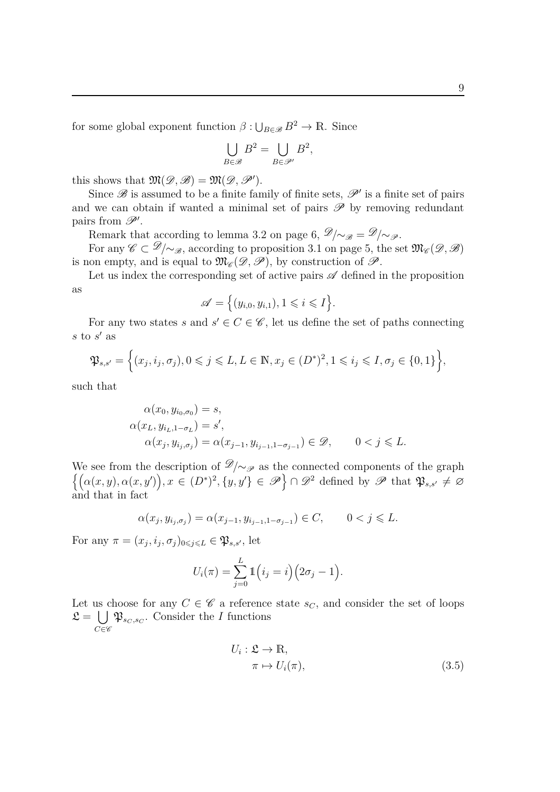for some global exponent function  $\beta: \bigcup_{B \in \mathcal{B}} B^2 \to \mathbb{R}$ . Since

$$
\bigcup_{B \in \mathscr{B}} B^2 = \bigcup_{B \in \mathscr{P}'} B^2,
$$

this shows that  $\mathfrak{M}(\mathscr{D}, \mathscr{B}) = \mathfrak{M}(\mathscr{D}, \mathscr{P}')$ .

Since  $\mathscr B$  is assumed to be a finite family of finite sets,  $\mathscr P'$  is a finite set of pairs and we can obtain if wanted a minimal set of pairs  $\mathscr P$  by removing redundant pairs from  $\mathscr{P}'$ .

Remark that according to lemma [3.2](#page-5-0) on page [6,](#page-5-0)  $\mathscr{D}/\sim_{\mathscr{B}} = \mathscr{D}/\sim_{\mathscr{P}}$ .

For any  $\mathscr{C} \subset \mathscr{D}/\sim_{\mathscr{B}}$ , according to proposition [3.1](#page-4-3) on page [5,](#page-4-3) the set  $\mathfrak{M}_{\mathscr{C}}(\mathscr{D}, \mathscr{B})$ is non empty, and is equal to  $\mathfrak{M}_{\mathscr{C}}(\mathscr{D}, \mathscr{P})$ , by construction of  $\mathscr{P}$ .

Let us index the corresponding set of active pairs  $\mathscr A$  defined in the proposition as

$$
\mathscr{A} = \Big\{ (y_{i,0}, y_{i,1}), 1 \leqslant i \leqslant I \Big\}.
$$

For any two states *s* and  $s' \in C \in \mathscr{C}$ , let us define the set of paths connecting  $s$  to  $s'$  as

$$
\mathfrak{P}_{s,s'} = \left\{ (x_j, i_j, \sigma_j), 0 \leqslant j \leqslant L, L \in \mathbb{N}, x_j \in (D^*)^2, 1 \leqslant i_j \leqslant I, \sigma_j \in \{0, 1\} \right\},\
$$

such that

$$
\alpha(x_0, y_{i_0, \sigma_0}) = s,\n\alpha(x_L, y_{i_L, 1 - \sigma_L}) = s',\n\alpha(x_j, y_{i_j, \sigma_j}) = \alpha(x_{j-1}, y_{i_{j-1}, 1 - \sigma_{j-1}}) \in \mathcal{D}, \qquad 0 < j \leq L.
$$

We see from the description of  $\mathcal{D}/\sim_{\mathcal{P}}$  as the connected components of the graph  $\{(\alpha(x,y), \alpha(x,y')), x \in (D^*)^2, \{y,y'\} \in \mathscr{P}\}\cap \mathscr{D}^2$  defined by  $\mathscr{P}$  that  $\mathfrak{P}_{s,s'} \neq \varnothing$ and that in fact

$$
\alpha(x_j, y_{i_j, \sigma_j}) = \alpha(x_{j-1}, y_{i_{j-1}, 1-\sigma_{j-1}}) \in C, \qquad 0 < j \leq L.
$$

For any  $\pi = (x_j, i_j, \sigma_j)_{0 \leq j \leq L} \in \mathfrak{P}_{s,s'}$ , let

$$
U_i(\pi) = \sum_{j=0}^L \mathbb{1}(i_j = i) (2\sigma_j - 1).
$$

Let us choose for any  $C \in \mathscr{C}$  a reference state  $s_C$ , and consider the set of loops  $\mathfrak{L} = \bigcup$  $C \in \mathscr{C}$  $\mathfrak{P}_{s_C, s_C}$ . Consider the *I* functions

<span id="page-8-0"></span>
$$
U_i: \mathfrak{L} \to \mathbb{R},
$$
  
\n
$$
\pi \mapsto U_i(\pi),
$$
\n(3.5)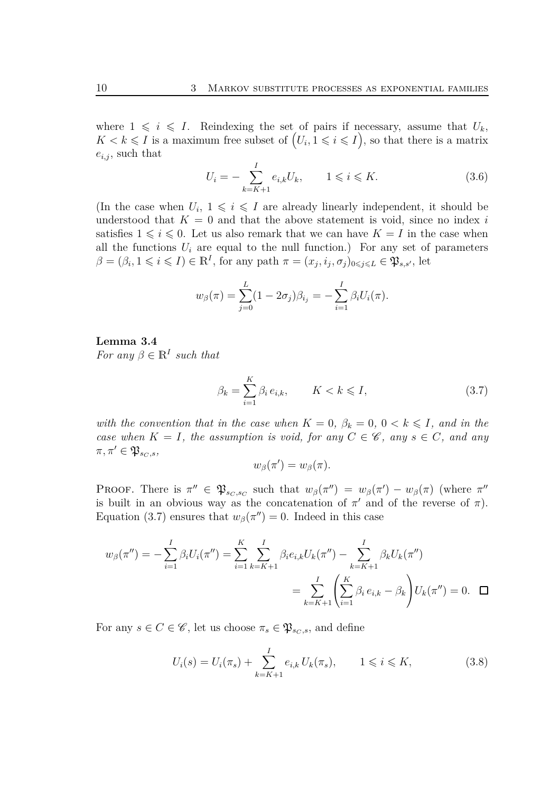where  $1 \leq i \leq I$ . Reindexing the set of pairs if necessary, assume that  $U_k$ ,  $K < k \leqslant I$  is a maximum free subset of  $(U_i, 1 \leqslant i \leqslant I)$ , so that there is a matrix  $e_{i,j}$ , such that

<span id="page-9-2"></span>
$$
U_i = -\sum_{k=K+1}^{I} e_{i,k} U_k, \qquad 1 \leq i \leq K. \tag{3.6}
$$

(In the case when  $U_i$ ,  $1 \leq i \leq I$  are already linearly independent, it should be understood that  $K = 0$  and that the above statement is void, since no index *i* satisfies  $1 \leq i \leq 0$ . Let us also remark that we can have  $K = I$  in the case when all the functions  $U_i$  are equal to the null function.) For any set of parameters  $\beta = (\beta_i, 1 \leq i \leq I) \in \mathbb{R}^I$ , for any path  $\pi = (x_j, i_j, \sigma_j)_{0 \leq j \leq L} \in \mathfrak{P}_{s,s'}$ , let

$$
w_{\beta}(\pi) = \sum_{j=0}^{L} (1 - 2\sigma_j)\beta_{i_j} = -\sum_{i=1}^{I} \beta_i U_i(\pi).
$$

**Lemma 3.4** *For any*  $\beta \in \mathbb{R}^I$  *such that* 

<span id="page-9-0"></span>
$$
\beta_k = \sum_{i=1}^K \beta_i e_{i,k}, \qquad K < k \leqslant I,\tag{3.7}
$$

*with the convention that in the case when*  $K = 0$ ,  $\beta_k = 0$ ,  $0 < k \leq I$ , and in the *case when*  $K = I$ *, the assumption is void, for any*  $C \in \mathscr{C}$ *, any*  $s \in C$ *, and any*  $\pi, \pi' \in \mathfrak{P}_{s_C, s},$ 

<span id="page-9-1"></span>
$$
w_{\beta}(\pi') = w_{\beta}(\pi).
$$

PROOF. There is  $\pi'' \in \mathfrak{P}_{s_C,s_C}$  such that  $w_\beta(\pi'') = w_\beta(\pi') - w_\beta(\pi)$  (where  $\pi''$ is built in an obvious way as the concatenation of  $\pi'$  and of the reverse of  $\pi$ ). Equation [\(3.7](#page-9-0)) ensures that  $w_{\beta}(\pi'') = 0$ . Indeed in this case

$$
w_{\beta}(\pi'') = -\sum_{i=1}^{I} \beta_i U_i(\pi'') = \sum_{i=1}^{K} \sum_{k=K+1}^{I} \beta_i e_{i,k} U_k(\pi'') - \sum_{k=K+1}^{I} \beta_k U_k(\pi'')
$$
  
= 
$$
\sum_{k=K+1}^{I} \left( \sum_{i=1}^{K} \beta_i e_{i,k} - \beta_k \right) U_k(\pi'') = 0. \quad \Box
$$

For any  $s \in C \in \mathscr{C}$ , let us choose  $\pi_s \in \mathfrak{P}_{sc,s}$ , and define

$$
U_i(s) = U_i(\pi_s) + \sum_{k=K+1}^{I} e_{i,k} U_k(\pi_s), \qquad 1 \leq i \leq K,
$$
\n(3.8)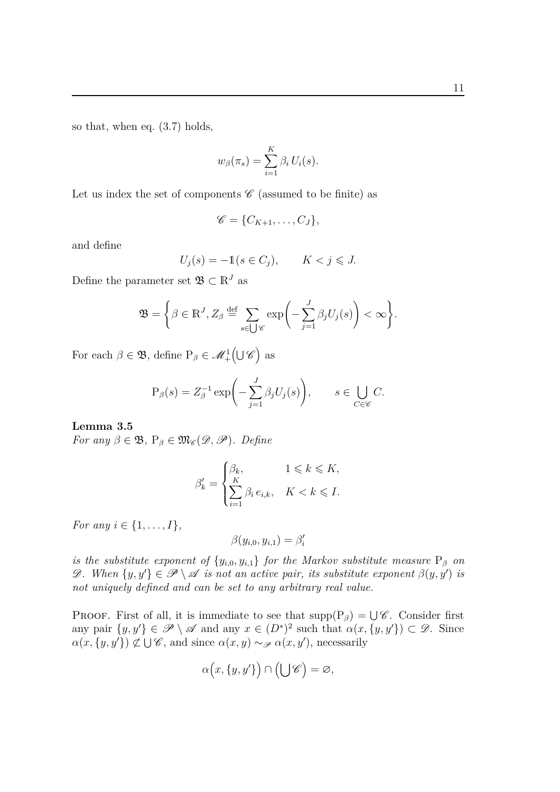so that, when eq. [\(3.7](#page-9-0)) holds,

$$
w_{\beta}(\pi_s) = \sum_{i=1}^{K} \beta_i U_i(s).
$$

Let us index the set of components  $\mathscr C$  (assumed to be finite) as

$$
\mathscr{C} = \{C_{K+1}, \ldots, C_J\},\
$$

and define

$$
U_j(s) = -\mathbb{1}(s \in C_j), \qquad K < j \leqslant J.
$$

Define the parameter set  $\mathfrak{B} \subset \mathbb{R}^J$  as

$$
\mathfrak{B} = \bigg\{\beta \in \mathbb{R}^J, Z_{\beta} \stackrel{\text{def}}{=} \sum_{s \in \bigcup \mathscr{C}} \exp\bigg(-\sum_{j=1}^J \beta_j U_j(s)\bigg) < \infty\bigg\}.
$$

For each  $\beta \in \mathfrak{B}$ , define  $P_{\beta} \in \mathcal{M}^1_+(\bigcup \mathscr{C})$  as

$$
P_{\beta}(s) = Z_{\beta}^{-1} \exp\biggl(-\sum_{j=1}^{J} \beta_j U_j(s)\biggr), \qquad s \in \bigcup_{C \in \mathscr{C}} C.
$$

#### **Lemma 3.5**

*For any*  $\beta \in \mathfrak{B}$ ,  $P_{\beta} \in \mathfrak{M}_{\mathscr{C}}(\mathscr{D}, \mathscr{P})$ *. Define* 

$$
\beta'_k = \begin{cases} \beta_k, & 1 \leqslant k \leqslant K, \\ \sum\limits_{i=1}^K \beta_i \, e_{i,k}, & K < k \leqslant I. \end{cases}
$$

*For any*  $i \in \{1, ..., I\}$ ,

$$
\beta(y_{i,0}, y_{i,1}) = \beta_i'
$$

*is the substitute exponent of*  $\{y_{i,0}, y_{i,1}\}$  *for the Markov substitute measure*  $P_\beta$  *on* D. When  $\{y, y'\} \in \mathcal{P} \setminus \mathcal{A}$  *is not an active pair, its substitute exponent*  $\beta(y, y')$  *is not uniquely defined and can be set to any arbitrary real value.*

PROOF. First of all, it is immediate to see that  $\text{supp}(P_\beta) = \bigcup \mathscr{C}$ . Consider first any pair  $\{y, y'\} \in \mathscr{P} \setminus \mathscr{A}$  and any  $x \in (D^*)^2$  such that  $\alpha(x, \{y, y'\}) \subset \mathscr{D}$ . Since  $\alpha(x, \{y, y'\}) \not\subset \bigcup \mathscr{C}$ , and since  $\alpha(x, y) \sim_{\mathscr{P}} \alpha(x, y')$ , necessarily

$$
\alpha\Big(x,\{y,y'\}\Big)\cap\Big(\bigcup\mathscr{C}\Big)=\varnothing,
$$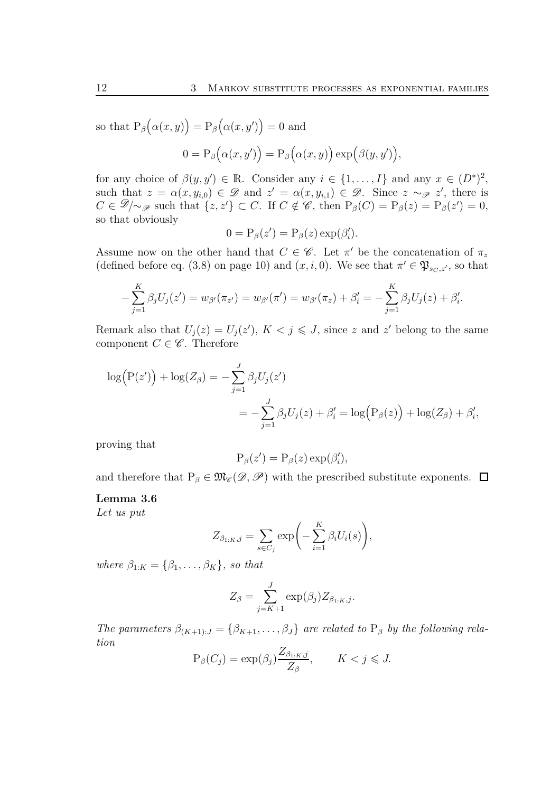so that  $P_\beta(\alpha(x,y)) = P_\beta(\alpha(x,y')) = 0$  and

$$
0 = P_{\beta}(\alpha(x, y')) = P_{\beta}(\alpha(x, y)) \exp(\beta(y, y')),
$$

for any choice of  $\beta(y, y') \in \mathbb{R}$ . Consider any  $i \in \{1, ..., I\}$  and any  $x \in (D^*)^2$ , such that  $z = \alpha(x, y_{i,0}) \in \mathcal{D}$  and  $z' = \alpha(x, y_{i,1}) \in \mathcal{D}$ . Since  $z \sim_{\mathcal{P}} z'$ , there is  $C \in \mathscr{D}/\sim_{\mathscr{P}}$  such that  $\{z, z'\} \subset C$ . If  $C \notin \mathscr{C}$ , then  $P_{\beta}(C) = P_{\beta}(z) = P_{\beta}(z') = 0$ , so that obviously

$$
0 = P_{\beta}(z') = P_{\beta}(z) \exp(\beta'_i).
$$

Assume now on the other hand that  $C \in \mathscr{C}$ . Let  $\pi'$  be the concatenation of  $\pi_z$ (defined before eq. [\(3.8\)](#page-9-1) on page [10\)](#page-9-1) and  $(x, i, 0)$ . We see that  $\pi' \in \mathfrak{P}_{s_C, z'}$ , so that

$$
-\sum_{j=1}^K \beta_j U_j(z') = w_{\beta'}(\pi_{z'}) = w_{\beta'}(\pi') = w_{\beta'}(\pi_z) + \beta'_i = -\sum_{j=1}^K \beta_j U_j(z) + \beta'_i.
$$

Remark also that  $U_j(z) = U_j(z')$ ,  $K < j \leq J$ , since *z* and *z'* belong to the same component  $C \in \mathscr{C}$ . Therefore

$$
\log(P(z')) + \log(Z_{\beta}) = -\sum_{j=1}^{J} \beta_j U_j(z')
$$
  
= 
$$
-\sum_{j=1}^{J} \beta_j U_j(z) + \beta'_i = \log(P_{\beta}(z)) + \log(Z_{\beta}) + \beta'_i,
$$

proving that

$$
P_{\beta}(z') = P_{\beta}(z) \exp(\beta'_i),
$$

and therefore that  $P_\beta \in \mathfrak{M}_{\mathscr{C}}(\mathscr{D}, \mathscr{P})$  with the prescribed substitute exponents.  $\Box$ 

#### **Lemma 3.6**

*Let us put*

$$
Z_{\beta_{1:K},j} = \sum_{s \in C_j} \exp\left(-\sum_{i=1}^K \beta_i U_i(s)\right),\,
$$

*where*  $\beta_{1:K} = {\beta_1, \ldots, \beta_K}$ *, so that* 

$$
Z_{\beta} = \sum_{j=K+1}^{J} \exp(\beta_j) Z_{\beta_{1:K},j}.
$$

*The parameters*  $\beta_{(K+1):J} = {\beta_{K+1}, \ldots, \beta_J}$  *are related to*  $P_\beta$  *by the following relation*

$$
P_{\beta}(C_j) = \exp(\beta_j) \frac{Z_{\beta_{1:K},j}}{Z_{\beta}}, \qquad K < j \leqslant J.
$$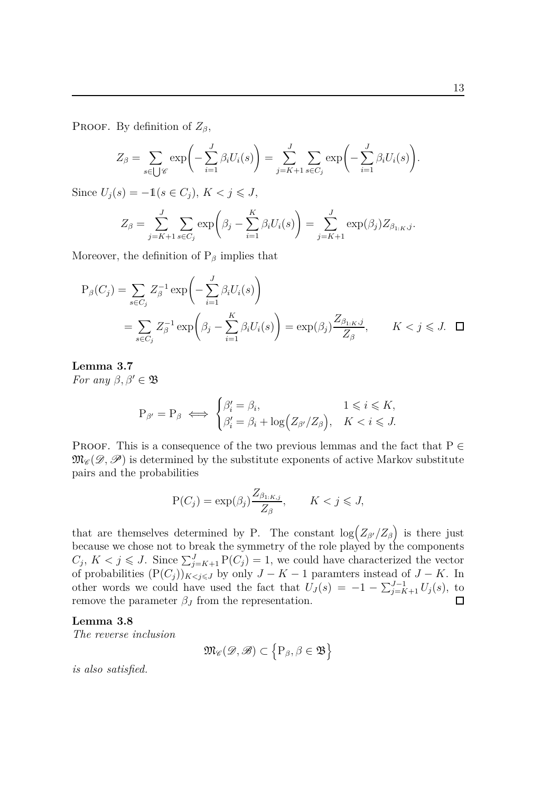PROOF. By definition of  $Z_\beta$ ,

$$
Z_{\beta} = \sum_{s \in \bigcup \mathscr{C}} \exp\left(-\sum_{i=1}^{J} \beta_i U_i(s)\right) = \sum_{j=K+1}^{J} \sum_{s \in C_j} \exp\left(-\sum_{i=1}^{J} \beta_i U_i(s)\right).
$$

Since  $U_j(s) = -1(s \in C_j)$ ,  $K < j \le J$ ,

$$
Z_{\beta} = \sum_{j=K+1}^{J} \sum_{s \in C_j} \exp \bigg( \beta_j - \sum_{i=1}^{K} \beta_i U_i(s) \bigg) = \sum_{j=K+1}^{J} \exp \big( \beta_j \big) Z_{\beta_{1:K},j}.
$$

Moreover, the definition of  $P_\beta$  implies that

$$
P_{\beta}(C_j) = \sum_{s \in C_j} Z_{\beta}^{-1} \exp\left(-\sum_{i=1}^J \beta_i U_i(s)\right)
$$
  
= 
$$
\sum_{s \in C_j} Z_{\beta}^{-1} \exp\left(\beta_j - \sum_{i=1}^K \beta_i U_i(s)\right) = \exp(\beta_j) \frac{Z_{\beta_{1:K},j}}{Z_{\beta}}, \qquad K < j \leq J. \quad \Box
$$

**Lemma 3.7** *For any*  $\beta, \beta' \in \mathfrak{B}$ 

$$
P_{\beta'} = P_{\beta} \iff \begin{cases} \beta'_i = \beta_i, & 1 \leq i \leq K, \\ \beta'_i = \beta_i + \log(Z_{\beta'}/Z_{\beta}), & K < i \leq J. \end{cases}
$$

PROOF. This is a consequence of the two previous lemmas and the fact that  $P \in$  $\mathfrak{M}_{\mathscr{C}}(\mathscr{D},\mathscr{P})$  is determined by the substitute exponents of active Markov substitute pairs and the probabilities

$$
P(C_j) = \exp(\beta_j) \frac{Z_{\beta_{1:K,j}}}{Z_{\beta}}, \qquad K < j \leqslant J,
$$

that are themselves determined by P. The constant  $\log(Z_{\beta'}/Z_{\beta})$  is there just because we chose not to break the symmetry of the role played by the components  $C_j$ ,  $K < j \leqslant J$ . Since  $\sum_{j=K+1}^{J} P(C_j) = 1$ , we could have characterized the vector of probabilities  $(P(C_j))_{K \leq j \leq J}$  by only  $J - K - 1$  paramters instead of  $J - K$ . In other words we could have used the fact that  $U_J(s) = -1 - \sum_{j=K+1}^{J-1} U_j(s)$ , to remove the parameter  $\beta_J$  from the representation.  $\Box$ 

#### **Lemma 3.8**

*The reverse inclusion*

$$
\mathfrak{M}_{\mathscr{C}}(\mathscr{D},\mathscr{B})\subset\left\{ P_{\beta},\beta\in\mathfrak{B}\right\}
$$

*is also satisfied.*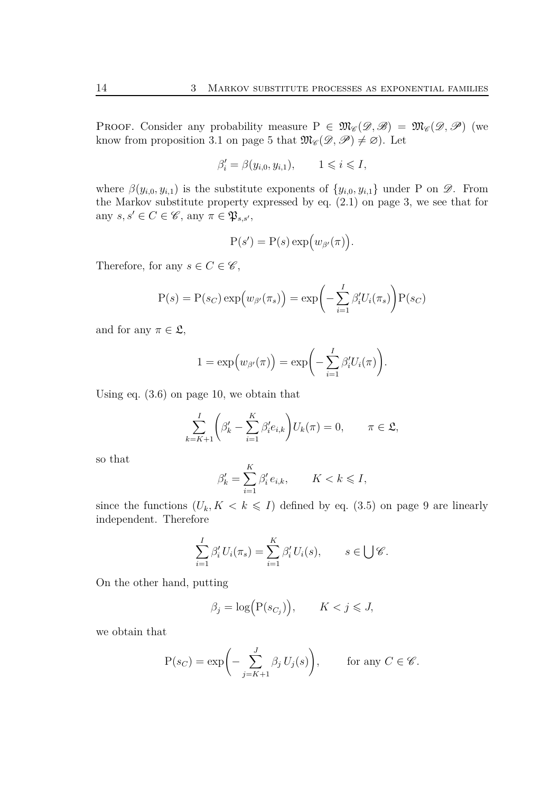**PROOF.** Consider any probability measure  $P \in \mathfrak{M}_{\mathscr{C}}(\mathscr{D}, \mathscr{B}) = \mathfrak{M}_{\mathscr{C}}(\mathscr{D}, \mathscr{P})$  (we know from proposition [3.1](#page-4-3) on page [5](#page-4-3) that  $\mathfrak{M}_{\mathscr{C}}(\mathscr{D}, \mathscr{P}) \neq \emptyset$ . Let

$$
\beta_i' = \beta(y_{i,0}, y_{i,1}), \qquad 1 \leqslant i \leqslant I,
$$

where  $\beta(y_{i,0}, y_{i,1})$  is the substitute exponents of  $\{y_{i,0}, y_{i,1}\}$  under P on  $\mathscr{D}$ . From the Markov substitute property expressed by eq. [\(2.1](#page-2-0)) on page [3,](#page-2-0) we see that for any  $s, s' \in C \in \mathscr{C}$ , any  $\pi \in \mathfrak{P}_{s,s'}$ ,

$$
P(s') = P(s) \exp(w_{\beta'}(\pi)).
$$

Therefore, for any  $s \in C \in \mathscr{C}$ ,

$$
P(s) = P(s_C) \exp(w_{\beta'}(\pi_s)) = \exp\left(-\sum_{i=1}^I \beta_i' U_i(\pi_s)\right) P(s_C)
$$

and for any  $\pi \in \mathfrak{L}$ ,

$$
1 = \exp(w_{\beta'}(\pi)) = \exp\left(-\sum_{i=1}^I \beta_i' U_i(\pi)\right).
$$

Using eq. [\(3.6](#page-9-2)) on page [10,](#page-9-2) we obtain that

$$
\sum_{k=K+1}^{I} \left(\beta'_k - \sum_{i=1}^{K} \beta'_i e_{i,k}\right) U_k(\pi) = 0, \qquad \pi \in \mathfrak{L},
$$

so that

$$
\beta'_k = \sum_{i=1}^K \beta'_i e_{i,k}, \qquad K < k \leqslant I,
$$

since the functions  $(U_k, K \leq k \leq I)$  defined by eq. [\(3.5\)](#page-8-0) on page [9](#page-8-0) are linearly independent. Therefore

$$
\sum_{i=1}^I \beta'_i U_i(\pi_s) = \sum_{i=1}^K \beta'_i U_i(s), \qquad s \in \bigcup \mathscr{C}.
$$

On the other hand, putting

$$
\beta_j = \log \Bigl( \mathcal{P}(s_{C_j}) \Bigr), \qquad K < j \leqslant J,
$$

we obtain that

$$
P(s_C) = \exp\biggl(-\sum_{j=K+1}^J \beta_j U_j(s)\biggr), \qquad \text{for any } C \in \mathscr{C}.
$$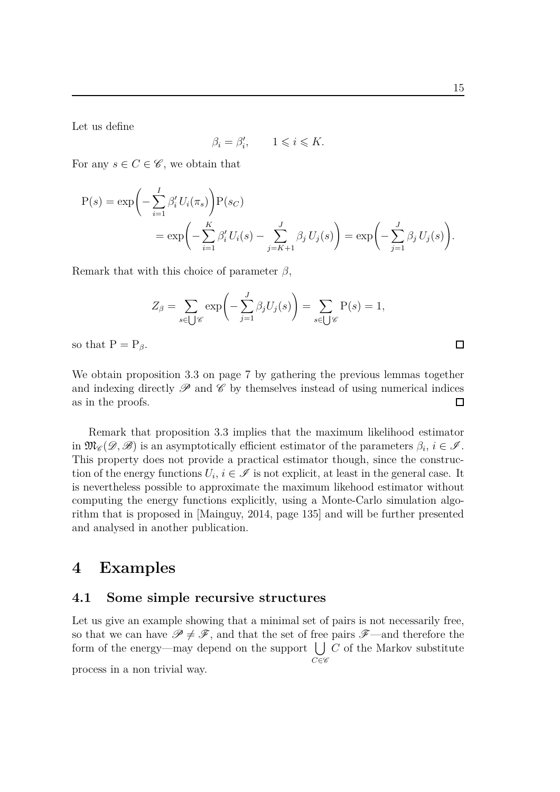Let us define

$$
\beta_i = \beta'_i, \qquad 1 \leqslant i \leqslant K.
$$

For any  $s \in C \in \mathscr{C}$ , we obtain that

$$
P(s) = \exp\left(-\sum_{i=1}^{I} \beta'_{i} U_{i}(\pi_{s})\right) P(s_{C})
$$
  
= 
$$
\exp\left(-\sum_{i=1}^{K} \beta'_{i} U_{i}(s) - \sum_{j=K+1}^{J} \beta_{j} U_{j}(s)\right) = \exp\left(-\sum_{j=1}^{J} \beta_{j} U_{j}(s)\right).
$$

Remark that with this choice of parameter *β*,

$$
Z_{\beta} = \sum_{s \in \bigcup \mathscr{C}} \exp\left(-\sum_{j=1}^{J} \beta_j U_j(s)\right) = \sum_{s \in \bigcup \mathscr{C}} P(s) = 1,
$$

so that  $P = P_\beta$ .

We obtain proposition [3.3](#page-6-0) on page [7](#page-6-0) by gathering the previous lemmas together and indexing directly  $\mathscr P$  and  $\mathscr C$  by themselves instead of using numerical indices as in the proofs.  $\Box$ 

Remark that proposition [3.3](#page-6-0) implies that the maximum likelihood estimator in  $\mathfrak{M}_{\mathscr{C}}(\mathscr{D},\mathscr{B})$  is an asymptotically efficient estimator of the parameters  $\beta_i$ ,  $i \in \mathscr{I}$ . This property does not provide a practical estimator though, since the construction of the energy functions  $U_i$ ,  $i \in \mathcal{I}$  is not explicit, at least in the general case. It is nevertheless possible to approximate the maximum likehood estimator without computing the energy functions explicitly, using a Monte-Carlo simulation algorithm that is proposed in [\[Mainguy, 2014,](#page-21-0) page 135] and will be further presented and analysed in another publication.

### **4 Examples**

#### **4.1 Some simple recursive structures**

Let us give an example showing that a minimal set of pairs is not necessarily free, so that we can have  $\mathscr{P} \neq \mathscr{F}$ , and that the set of free pairs  $\mathscr{F}$ —and therefore the form of the energy—may depend on the support [ *C* of the Markov substitute  $C \in \mathscr{C}$ 

process in a non trivial way.

 $\Box$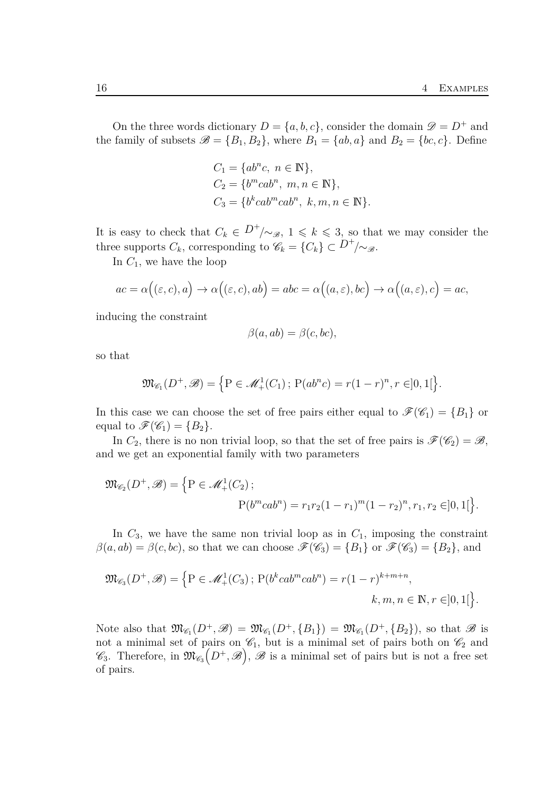On the three words dictionary  $D = \{a, b, c\}$ , consider the domain  $\mathscr{D} = D^+$  and the family of subsets  $\mathscr{B} = \{B_1, B_2\}$ , where  $B_1 = \{ab, a\}$  and  $B_2 = \{bc, c\}$ . Define

$$
C_1 = \{ab^n c, n \in \mathbb{N}\},
$$
  
\n
$$
C_2 = \{b^m cab^n, m, n \in \mathbb{N}\},
$$
  
\n
$$
C_3 = \{b^k cab^m cab^n, k, m, n \in \mathbb{N}\}.
$$

It is easy to check that  $C_k \in D^+/\sim_{\mathscr{B}}$ ,  $1 \leq k \leq 3$ , so that we may consider the three supports  $C_k$ , corresponding to  $\mathscr{C}_k = \{C_k\} \subset D^+/\mathscr{S}_k$ .

In *C*1, we have the loop

$$
ac = \alpha((\varepsilon, c), a) \to \alpha((\varepsilon, c), ab) = abc = \alpha((a, \varepsilon), bc) \to \alpha((a, \varepsilon), c) = ac,
$$

inducing the constraint

$$
\beta(a, ab) = \beta(c, bc),
$$

so that

$$
\mathfrak{M}_{\mathscr{C}_1}(D^+,\mathscr{B}) = \left\{ P \in \mathscr{M}_+^1(C_1) \, ; \, P(ab^n c) = r(1-r)^n, r \in ]0,1[ \right\}.
$$

In this case we can choose the set of free pairs either equal to  $\mathscr{F}(\mathscr{C}_1) = \{B_1\}$  or equal to  $\mathscr{F}(\mathscr{C}_1) = \{B_2\}.$ 

In  $C_2$ , there is no non trivial loop, so that the set of free pairs is  $\mathscr{F}(\mathscr{C}_2) = \mathscr{B}$ , and we get an exponential family with two parameters

$$
\mathfrak{M}_{\mathscr{C}_2}(D^+,\mathscr{B}) = \left\{ P \in \mathscr{M}_+^1(C_2) \, ; \right.
$$
  
 
$$
P(b^mcab^n) = r_1r_2(1-r_1)^m(1-r_2)^n, r_1, r_2 \in ]0,1[ \, \right\}.
$$

In  $C_3$ , we have the same non trivial loop as in  $C_1$ , imposing the constraint  $\beta(a, ab) = \beta(c, bc)$ , so that we can choose  $\mathscr{F}(\mathscr{C}_3) = \{B_1\}$  or  $\mathscr{F}(\mathscr{C}_3) = \{B_2\}$ , and

$$
\mathfrak{M}_{\mathscr{C}_3}(D^+,\mathscr{B}) = \left\{ P \in \mathscr{M}_+^1(C_3) \, ; \, P(b^k cab^m cab^n) = r(1-r)^{k+m+n}, \right. \\ k, m, n \in \mathbb{N}, r \in ]0,1[ \, \}.
$$

Note also that  $\mathfrak{M}_{\mathscr{C}_1}(D^+,\mathscr{B}) = \mathfrak{M}_{\mathscr{C}_1}(D^+,\{B_1\}) = \mathfrak{M}_{\mathscr{C}_1}(D^+,\{B_2\})$ , so that  $\mathscr{B}$  is not a minimal set of pairs on  $\mathcal{C}_1$ , but is a minimal set of pairs both on  $\mathcal{C}_2$  and  $\mathscr{C}_3$ . Therefore, in  $\mathfrak{M}_{\mathscr{C}_3}(D^+,\mathscr{B}), \mathscr{B}$  is a minimal set of pairs but is not a free set of pairs.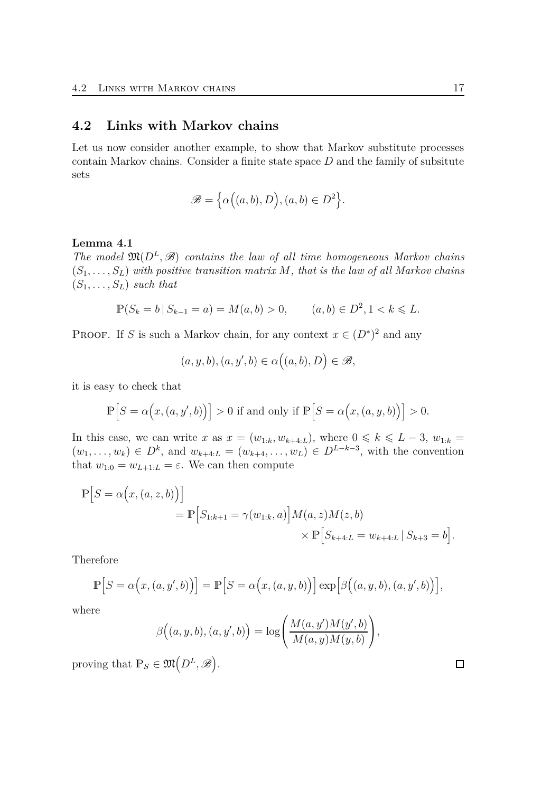#### **4.2 Links with Markov chains**

Let us now consider another example, to show that Markov substitute processes contain Markov chains. Consider a finite state space *D* and the family of subsitute sets

$$
\mathscr{B} = \left\{ \alpha \Big( (a,b), D \Big), (a,b) \in D^2 \right\}.
$$

#### **Lemma 4.1**

*The model*  $\mathfrak{M}(D^L, \mathcal{B})$  *contains the law of all time homogeneous Markov chains*  $(S_1, \ldots, S_L)$  with positive transition matrix M, that is the law of all Markov chains  $(S_1, \ldots, S_L)$  *such that* 

$$
\mathbb{P}(S_k = b \,|\, S_{k-1} = a) = M(a, b) > 0, \qquad (a, b) \in D^2, 1 < k \leq L.
$$

**PROOF.** If *S* is such a Markov chain, for any context  $x \in (D^*)^2$  and any

$$
(a, y, b), (a, y', b) \in \alpha((a, b), D) \in \mathscr{B},
$$

it is easy to check that

$$
\mathbb{P}\Big[S = \alpha\Big(x,(a,y',b)\Big)\Big] > 0 \text{ if and only if } \mathbb{P}\Big[S = \alpha\Big(x,(a,y,b)\Big)\Big] > 0.
$$

In this case, we can write *x* as  $x = (w_{1:k}, w_{k+4:L})$ , where  $0 \le k \le L-3$ ,  $w_{1:k} =$  $(w_1, \ldots, w_k) \in D^k$ , and  $w_{k+4:L} = (w_{k+4}, \ldots, w_L) \in D^{L-k-3}$ , with the convention that  $w_{1:0} = w_{L+1:L} = \varepsilon$ . We can then compute

$$
\mathbb{P}\Big[S = \alpha(x, (a, z, b))\Big] \n= \mathbb{P}\Big[S_{1:k+1} = \gamma(w_{1:k}, a)\Big] M(a, z) M(z, b) \n\times \mathbb{P}\Big[S_{k+4:L} = w_{k+4:L} \,|\, S_{k+3} = b\Big].
$$

Therefore

$$
\mathbb{P}\Big[S = \alpha\big(x, (a, y', b)\big)\Big] = \mathbb{P}\Big[S = \alpha\big(x, (a, y, b)\big)\Big] \exp\Big[\beta\big((a, y, b), (a, y', b)\big)\Big],
$$

where

$$
\beta\Big((a,y,b),(a,y',b)\Big)=\log\Biggl(\frac{M(a,y')M(y',b)}{M(a,y)M(y,b)}\Biggr),
$$

proving that  $\mathbb{P}_S \in \mathfrak{M}(D^L, \mathscr{B})$ .

| ., |
|----|
|    |

 $\Box$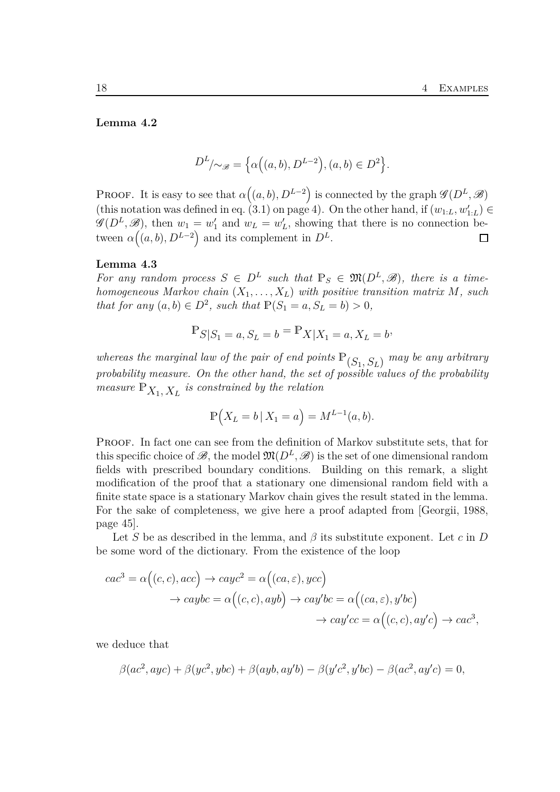#### **Lemma 4.2**

$$
D^{L}/\sim_{\mathscr{B}} = \left\{ \alpha\left( (a,b), D^{L-2} \right), (a,b) \in D^{2} \right\}.
$$

**PROOF.** It is easy to see that  $\alpha((a, b), D^{L-2})$  is connected by the graph  $\mathscr{G}(D^L, \mathscr{B})$ (this notation was defined in eq. [\(3.1\)](#page-3-0) on page [4\)](#page-3-0). On the other hand, if  $(w_{1:L}, w'_{1:L}) \in$  $\mathscr{G}(D^L, \mathscr{B})$ , then  $w_1 = w'_1$  and  $w_L = w'_L$ , showing that there is no connection between  $\alpha((a, b), D^{L-2})$  and its complement in  $D^L$ .  $\Box$ 

#### **Lemma 4.3**

*For any random process*  $S \in D^L$  such that  $\mathbb{P}_S \in \mathfrak{M}(D^L, \mathcal{B})$ , there is a time*homogeneous Markov chain* (*X*1*, . . . , XL*) *with positive transition matrix M, such that for any*  $(a, b) \in D^2$ , *such that*  $\mathbb{P}(S_1 = a, S_L = b) > 0$ ,

$$
\mathbb{P}_{S|S_1 = a, S_L = b} = \mathbb{P}_{X|X_1 = a, X_L = b},
$$

*whereas the marginal law of the pair of end points*  $\mathbb{P}_{(S_1, S_L)}$  *may be any arbitrary probability measure. On the other hand, the set of possible values of the probability measure*  $\mathbb{P}_{X_1, X_L}$  *is constrained by the relation* 

$$
\mathbb{P}(X_L = b \,|\, X_1 = a) = M^{L-1}(a, b).
$$

PROOF. In fact one can see from the definition of Markov substitute sets, that for this specific choice of  $\mathscr{B}$ , the model  $\mathfrak{M}(D^L,\mathscr{B})$  is the set of one dimensional random fields with prescribed boundary conditions. Building on this remark, a slight modification of the proof that a stationary one dimensional random field with a finite state space is a stationary Markov chain gives the result stated in the lemma. For the sake of completeness, we give here a proof adapted from [\[Georgii, 1988,](#page-21-3) page 45].

Let *S* be as described in the lemma, and  $\beta$  its substitute exponent. Let *c* in *D* be some word of the dictionary. From the existence of the loop

$$
cac^3 = \alpha \Big( (c, c), acc \Big) \rightarrow cayc^2 = \alpha \Big( (ca, \varepsilon), ycc \Big)
$$
  

$$
\rightarrow caybc = \alpha \Big( (c, c), ayb \Big) \rightarrow cay'bc = \alpha \Big( (ca, \varepsilon), y'bc \Big)
$$
  

$$
\rightarrow cay'cc = \alpha \Big( (c, c), ay'c \Big) \rightarrow cac^3,
$$

we deduce that

$$
\beta(ac^2, ayc) + \beta(yc^2, ybc) + \beta(ayb, ay'b) - \beta(y'c^2, y'bc) - \beta(ac^2, ay'c) = 0,
$$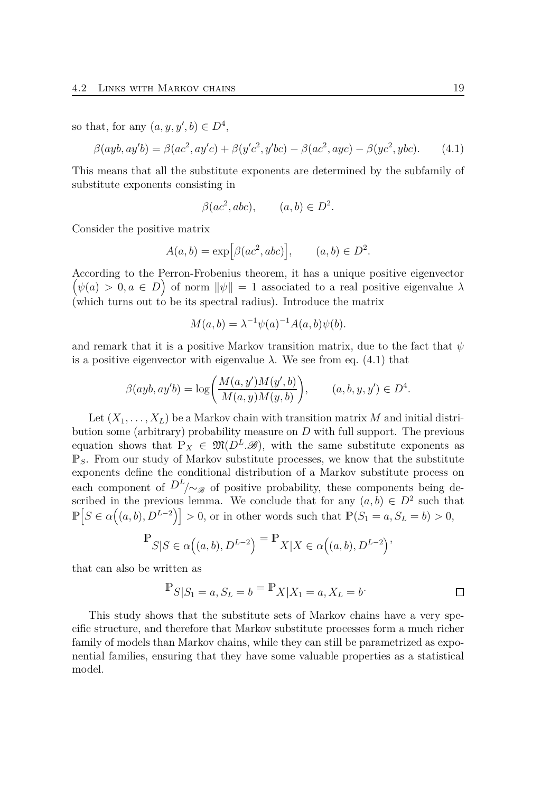so that, for any  $(a, y, y', b) \in D^4$ ,

$$
\beta(ayb, ay'b) = \beta(ac^2, ay'c) + \beta(y'c^2, y'bc) - \beta(ac^2, ayc) - \beta(yc^2, ybc). \tag{4.1}
$$

This means that all the substitute exponents are determined by the subfamily of substitute exponents consisting in

<span id="page-18-0"></span>
$$
\beta(ac^2, abc), \qquad (a, b) \in D^2.
$$

Consider the positive matrix

$$
A(a,b) = \exp[\beta(ac^2, abc)], \qquad (a,b) \in D^2.
$$

According to the Perron-Frobenius theorem, it has a unique p ositive eigenvector  $\left(\psi(a) > 0, a \in D\right)$  of norm  $\|\psi\| = 1$  associated to a real positive eigenvalue  $\lambda$ (which turns out to be its spectral radius). Introduce the matrix

$$
M(a,b) = \lambda^{-1} \psi(a)^{-1} A(a,b) \psi(b).
$$

and remark that it is a positive Markov transition matrix, due to the fact that *ψ* is a positive eigenvector with eigenvalue  $\lambda$ . We see from eq. [\(4.1\)](#page-18-0) that

$$
\beta(ayb, ay'b) = \log\bigg(\frac{M(a, y')M(y', b)}{M(a, y)M(y, b)}\bigg), \qquad (a, b, y, y') \in D^4.
$$

Let  $(X_1, \ldots, X_L)$  be a Markov chain with transition matrix M and initial distribution some (arbitrary) probability measure on *D* with full support. The previous equation shows that  $\mathbb{P}_X \in \mathfrak{M}(D^L,\mathscr{B})$ , with the same substitute exponents as P*S*. From our study of Markov substitute processes, we know that the substitute exponents define the conditional distribution of a Markov substitute process on each component of  $D^L$  / $\sim_{\mathscr{B}}$  of positive probability, these components being described in the previous lemma. We conclude that for any  $(a, b) \in D^2$  such that  $\mathbb{P}\left[S \in \alpha((a, b), D^{L-2})\right] > 0$ , or in other words such that  $\mathbb{P}(S_1 = a, S_L = b) > 0$ ,

$$
\mathbb{P}_{S|S \in \alpha\left((a,b), D^{L-2}\right)} = \mathbb{P}_{X|X \in \alpha\left((a,b), D^{L-2}\right)}
$$

that can also be written as

$$
\mathbb{P}_{S|S_1 = a, S_L = b} = \mathbb{P}_{X|X_1 = a, X_L = b}.
$$

This study shows that the substitute sets of Markov chains have a very specific structure, and therefore that Markov substitute processes form a much richer family of models than Markov chains, while they can still be parametrized as exponential families, ensuring that they have some valuable properties as a statistical model.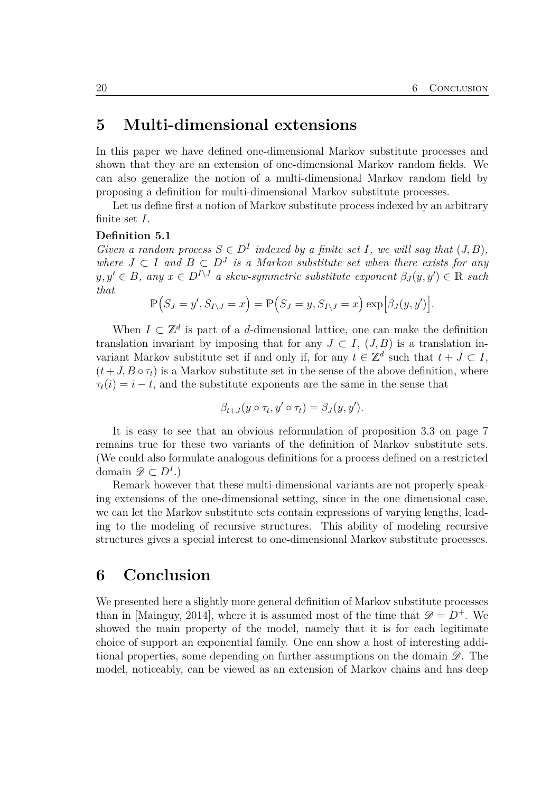## **5 Multi-dimensional extensions**

In this paper we have defined one-dimensional Markov substitute processes and shown that they are an extension of one-dimensional Markov random fields. We can also generalize the notion of a multi-dimensional Markov random field by proposing a definition for multi-dimensional Markov substitute processes.

Let us define first a notion of Markov substitute process indexed by an arbitrary finite set *I*.

#### **Definition 5.1**

*Given a random process*  $S \in D^I$  *indexed by a finite set I*, we will say that  $(J, B)$ ,  $where$  *J* ⊂ *I* and *B* ⊂ *D*<sup>*J*</sup> *is a Markov substitute set when there exists for any*  $y, y' \in B$ , any  $x \in D^{I \setminus J}$  a skew-symmetric substitute exponent  $\beta_J(y, y') \in \mathbb{R}$  such *that*

$$
\mathbb{P}(S_J = y', S_{I \setminus J} = x) = \mathbb{P}(S_J = y, S_{I \setminus J} = x) \exp[\beta_J(y, y')].
$$

When  $I \subset \mathbb{Z}^d$  is part of a *d*-dimensional lattice, one can make the definition translation invariant by imposing that for any  $J \subset I$ ,  $(J, B)$  is a translation invariant Markov substitute set if and only if, for any  $t \in \mathbb{Z}^d$  such that  $t + J \subset I$ ,  $(t+J, B \circ \tau_t)$  is a Markov substitute set in the sense of the above definition, where  $\tau_t(i) = i - t$ , and the substitute exponents are the same in the sense that

$$
\beta_{t+J}(y \circ \tau_t, y' \circ \tau_t) = \beta_J(y, y').
$$

It is easy to see that an obvious reformulation of proposition [3.3](#page-6-0) on page [7](#page-6-0) remains true for these two variants of the definition of Markov substitute sets. (We could also formulate analogous definitions for a process defined on a restricted domain  $\mathscr{D} \subset D^I$ .)

Remark however that these multi-dimensional variants are not properly speaking extensions of the one-dimensional setting, since in the one dimensional case, we can let the Markov substitute sets contain expressions of varying lengths, leading to the modeling of recursive structures. This ability of modeling recursive structures gives a special interest to one-dimensional Markov substitute processes.

## **6 Conclusion**

We presented here a slightly more general definition of Markov substitute processes than in [\[Mainguy, 2014\]](#page-21-0), where it is assumed most of the time that  $\mathscr{D} = D^+$ . We showed the main property of the model, namely that it is for each legitimate choice of support an exponential family. One can show a host of interesting additional properties, some depending on further assumptions on the domain  $\mathscr{D}$ . The model, noticeably, can be viewed as an extension of Markov chains and has deep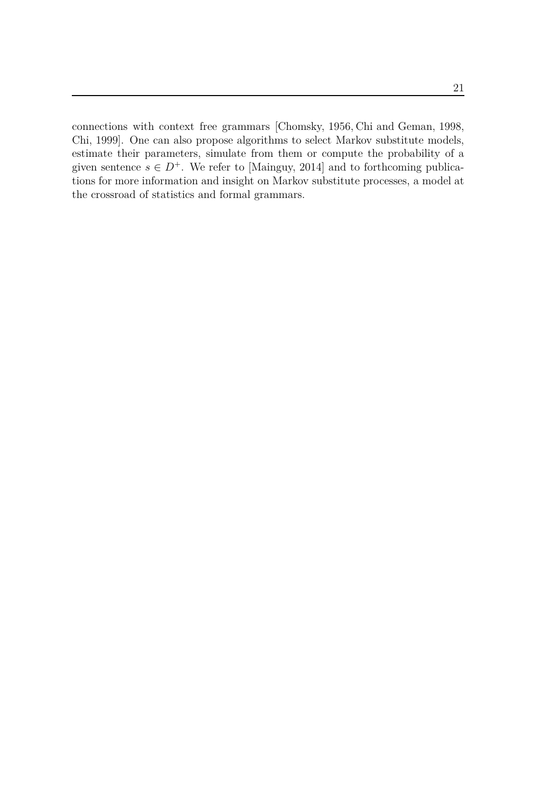connections with context free grammars [\[Chomsky, 1956,](#page-21-4) Chi [and Geman, 1998,](#page-21-5) [Chi, 1999\]](#page-21-6). One can also propose algorithms to select Markov substitute models, estimate their parameters, simulate from them or compute the probability of a given sentence  $s \in D^+$ . We refer to [\[Mainguy, 2014\]](#page-21-0) and to forthcoming publications for more information and insight on Markov substitute processes, a model at the crossroad of statistics and formal grammars.